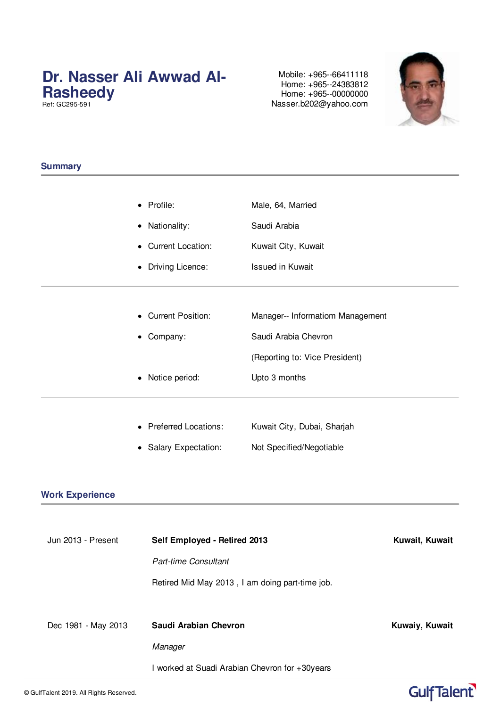## **Dr. Nasser Ali Awwad Al-Rasheedy**

Ref: GC295-591

Mobile: +965--66411118 Home: +965--24383812 Home: +965--00000000 Nasser.b202@yahoo.com



### **Summary**

### **Work Experience**

| Jun 2013 - Present  | Self Employed - Retired 2013                    | Kuwait, Kuwait |  |
|---------------------|-------------------------------------------------|----------------|--|
|                     | <b>Part-time Consultant</b>                     |                |  |
|                     | Retired Mid May 2013, I am doing part-time job. |                |  |
|                     |                                                 |                |  |
|                     |                                                 |                |  |
| Dec 1981 - May 2013 | Saudi Arabian Chevron                           | Kuwaiy, Kuwait |  |
|                     | Manager                                         |                |  |

# GulfTalent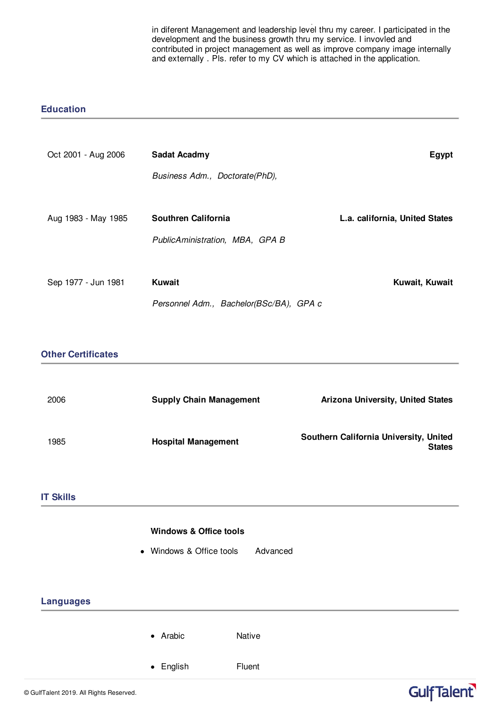I worked at Suadi Arabian Chevron for +30years in diferent Management and leadership level thru my career. I participated in the development and the business growth thru my service. I invovled and contributed in project management as well as improve company image internally and externally . Pls. refer to my CV which is attached in the application.

#### **Education**

| Oct 2001 - Aug 2006       | <b>Sadat Acadmy</b>                     |          |                                        | <b>Egypt</b>  |
|---------------------------|-----------------------------------------|----------|----------------------------------------|---------------|
|                           | Business Adm., Doctorate(PhD),          |          |                                        |               |
|                           |                                         |          |                                        |               |
| Aug 1983 - May 1985       | Southren California                     |          | L.a. california, United States         |               |
|                           | PublicAministration, MBA, GPA B         |          |                                        |               |
|                           |                                         |          |                                        |               |
| Sep 1977 - Jun 1981       | <b>Kuwait</b>                           |          | Kuwait, Kuwait                         |               |
|                           | Personnel Adm., Bachelor(BSc/BA), GPA c |          |                                        |               |
|                           |                                         |          |                                        |               |
| <b>Other Certificates</b> |                                         |          |                                        |               |
|                           |                                         |          |                                        |               |
| 2006                      | <b>Supply Chain Management</b>          |          | Arizona University, United States      |               |
|                           |                                         |          |                                        |               |
| 1985                      | <b>Hospital Management</b>              |          | Southern California University, United | <b>States</b> |
|                           |                                         |          |                                        |               |
| <b>IT Skills</b>          |                                         |          |                                        |               |
|                           |                                         |          |                                        |               |
|                           | <b>Windows &amp; Office tools</b>       |          |                                        |               |
|                           | • Windows & Office tools                | Advanced |                                        |               |
|                           |                                         |          |                                        |               |
| <b>Languages</b>          |                                         |          |                                        |               |
|                           |                                         |          |                                        |               |
|                           | • Arabic<br>Native                      |          |                                        |               |
|                           | • English<br>Fluent                     |          |                                        |               |